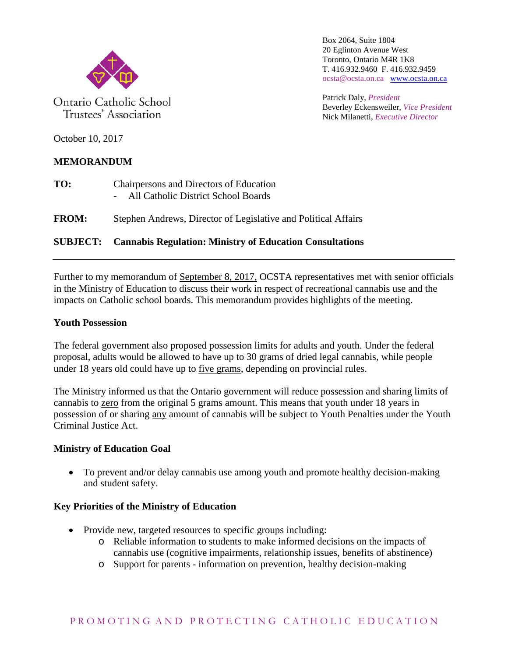

Ontario Catholic School Trustees' Association

Box 2064, Suite 1804 20 Eglinton Avenue West Toronto, Ontario M4R 1K8 T. 416.932.9460 F. 416.932.9459 ocsta@ocsta.on.ca [www.ocsta.on.ca](http://www.ocsta.on.ca/)

Patrick Daly, *President* Beverley Eckensweiler, *Vice President* Nick Milanetti, *Executive Director*

October 10, 2017

## **MEMORANDUM**

- **TO:** Chairpersons and Directors of Education - All Catholic District School Boards
- **FROM:** Stephen Andrews, Director of Legislative and Political Affairs

# **SUBJECT: Cannabis Regulation: Ministry of Education Consultations**

Further to my memorandum of September 8, 2017, OCSTA representatives met with senior officials in the Ministry of Education to discuss their work in respect of recreational cannabis use and the impacts on Catholic school boards. This memorandum provides highlights of the meeting.

#### **Youth Possession**

The federal government also proposed possession limits for adults and youth. Under the federal proposal, adults would be allowed to have up to 30 grams of dried legal cannabis, while people under 18 years old could have up to five grams, depending on provincial rules.

The Ministry informed us that the Ontario government will reduce possession and sharing limits of cannabis to zero from the original 5 grams amount. This means that youth under 18 years in possession of or sharing any amount of cannabis will be subject to Youth Penalties under the Youth Criminal Justice Act.

### **Ministry of Education Goal**

• To prevent and/or delay cannabis use among youth and promote healthy decision-making and student safety.

### **Key Priorities of the Ministry of Education**

- Provide new, targeted resources to specific groups including:
	- o Reliable information to students to make informed decisions on the impacts of cannabis use (cognitive impairments, relationship issues, benefits of abstinence)
	- o Support for parents information on prevention, healthy decision-making